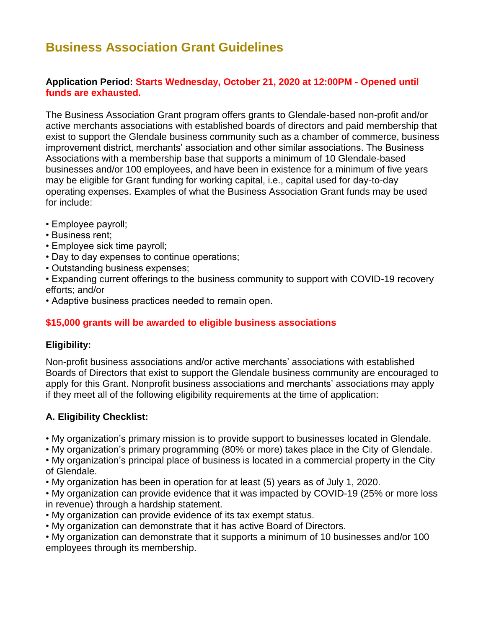# **Business Association Grant Guidelines**

#### **Application Period: Starts Wednesday, October 21, 2020 at 12:00PM - Opened until funds are exhausted.**

The Business Association Grant program offers grants to Glendale-based non-profit and/or active merchants associations with established boards of directors and paid membership that exist to support the Glendale business community such as a chamber of commerce, business improvement district, merchants' association and other similar associations. The Business Associations with a membership base that supports a minimum of 10 Glendale-based businesses and/or 100 employees, and have been in existence for a minimum of five years may be eligible for Grant funding for working capital, i.e., capital used for day-to-day operating expenses. Examples of what the Business Association Grant funds may be used for include:

- Employee payroll;
- Business rent;
- Employee sick time payroll;
- Day to day expenses to continue operations;
- Outstanding business expenses;
- Expanding current offerings to the business community to support with COVID-19 recovery efforts; and/or
- Adaptive business practices needed to remain open.

## **\$15,000 grants will be awarded to eligible business associations**

#### **Eligibility:**

Non-profit business associations and/or active merchants' associations with established Boards of Directors that exist to support the Glendale business community are encouraged to apply for this Grant. Nonprofit business associations and merchants' associations may apply if they meet all of the following eligibility requirements at the time of application:

#### **A. Eligibility Checklist:**

• My organization's primary mission is to provide support to businesses located in Glendale.

• My organization's primary programming (80% or more) takes place in the City of Glendale.

• My organization's principal place of business is located in a commercial property in the City of Glendale.

• My organization has been in operation for at least (5) years as of July 1, 2020.

• My organization can provide evidence that it was impacted by COVID-19 (25% or more loss in revenue) through a hardship statement.

- My organization can provide evidence of its tax exempt status.
- My organization can demonstrate that it has active Board of Directors.

• My organization can demonstrate that it supports a minimum of 10 businesses and/or 100 employees through its membership.